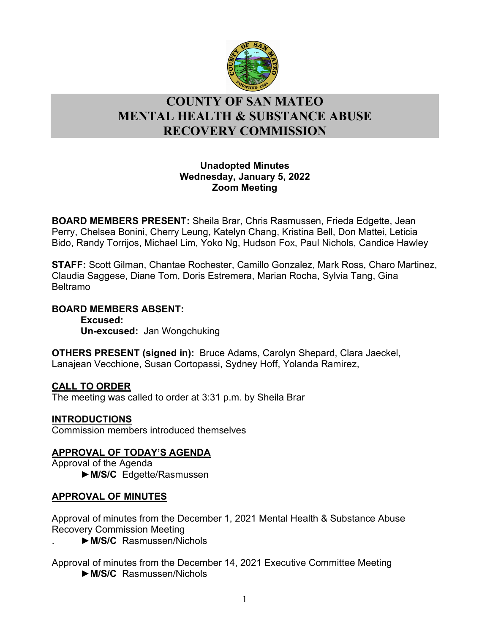

# l **COUNTY OF SAN MATEO MENTAL HEALTH & SUBSTANCE ABUSE RECOVERY COMMISSION**

## **Unadopted Minutes Wednesday, January 5, 2022 Zoom Meeting**

**BOARD MEMBERS PRESENT:** Sheila Brar, Chris Rasmussen, Frieda Edgette, Jean Perry, Chelsea Bonini, Cherry Leung, Katelyn Chang, Kristina Bell, Don Mattei, Leticia Bido, Randy Torrijos, Michael Lim, Yoko Ng, Hudson Fox, Paul Nichols, Candice Hawley

**STAFF:** Scott Gilman, Chantae Rochester, Camillo Gonzalez, Mark Ross, Charo Martinez, Claudia Saggese, Diane Tom, Doris Estremera, Marian Rocha, Sylvia Tang, Gina Beltramo

## **BOARD MEMBERS ABSENT:**

**Excused: Un-excused:** Jan Wongchuking

**OTHERS PRESENT (signed in):** Bruce Adams, Carolyn Shepard, Clara Jaeckel, Lanajean Vecchione, Susan Cortopassi, Sydney Hoff, Yolanda Ramirez,

## **CALL TO ORDER**

The meeting was called to order at 3:31 p.m. by Sheila Brar

## **INTRODUCTIONS**

Commission members introduced themselves

## **APPROVAL OF TODAY'S AGENDA**

Approval of the Agenda ►**M/S/C** Edgette/Rasmussen

## **APPROVAL OF MINUTES**

Approval of minutes from the December 1, 2021 Mental Health & Substance Abuse Recovery Commission Meeting

. ►**M/S/C** Rasmussen/Nichols

Approval of minutes from the December 14, 2021 Executive Committee Meeting ►**M/S/C** Rasmussen/Nichols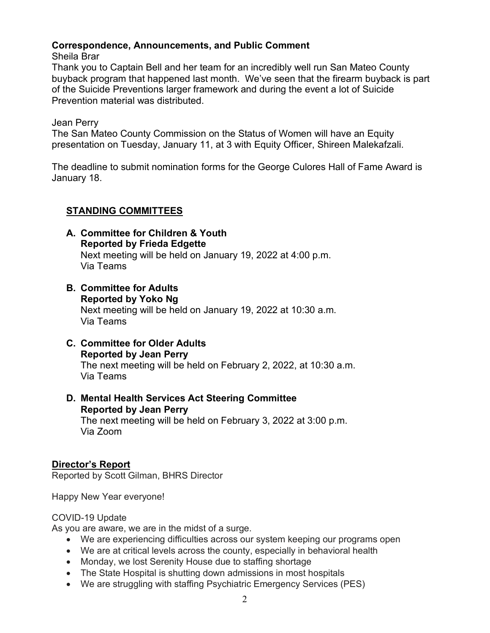## **Correspondence, Announcements, and Public Comment**

Sheila Brar

Thank you to Captain Bell and her team for an incredibly well run San Mateo County buyback program that happened last month. We've seen that the firearm buyback is part of the Suicide Preventions larger framework and during the event a lot of Suicide Prevention material was distributed.

Jean Perry

The San Mateo County Commission on the Status of Women will have an Equity presentation on Tuesday, January 11, at 3 with Equity Officer, Shireen Malekafzali.

The deadline to submit nomination forms for the George Culores Hall of Fame Award is January 18.

## **STANDING COMMITTEES**

- **A. Committee for Children & Youth Reported by Frieda Edgette** Next meeting will be held on January 19, 2022 at 4:00 p.m. Via Teams
- **B. Committee for Adults Reported by Yoko Ng** Next meeting will be held on January 19, 2022 at 10:30 a.m. Via Teams
- **C. Committee for Older Adults Reported by Jean Perry** The next meeting will be held on February 2, 2022, at 10:30 a.m. Via Teams
- **D. Mental Health Services Act Steering Committee Reported by Jean Perry** The next meeting will be held on February 3, 2022 at 3:00 p.m. Via Zoom

## **Director's Report**

Reported by Scott Gilman, BHRS Director

Happy New Year everyone!

## COVID-19 Update

As you are aware, we are in the midst of a surge.

- We are experiencing difficulties across our system keeping our programs open
- We are at critical levels across the county, especially in behavioral health
- Monday, we lost Serenity House due to staffing shortage
- The State Hospital is shutting down admissions in most hospitals
- We are struggling with staffing Psychiatric Emergency Services (PES)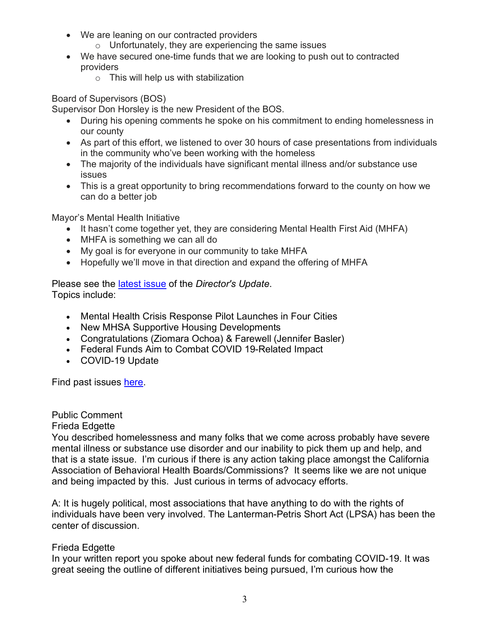- We are leaning on our contracted providers
	- $\circ$  Unfortunately, they are experiencing the same issues
- We have secured one-time funds that we are looking to push out to contracted providers
	- o This will help us with stabilization

#### Board of Supervisors (BOS)

Supervisor Don Horsley is the new President of the BOS.

- During his opening comments he spoke on his commitment to ending homelessness in our county
- As part of this effort, we listened to over 30 hours of case presentations from individuals in the community who've been working with the homeless
- The majority of the individuals have significant mental illness and/or substance use issues
- This is a great opportunity to bring recommendations forward to the county on how we can do a better job

Mayor's Mental Health Initiative

- It hasn't come together yet, they are considering Mental Health First Aid (MHFA)
- MHFA is something we can all do
- My goal is for everyone in our community to take MHFA
- Hopefully we'll move in that direction and expand the offering of MHFA

Please see the [latest issue](https://www.smchealth.org/sites/main/files/file-attachments/directors_update_2022_01.pdf?1640799929) of the *Director's Update*. Topics include:

- Mental Health Crisis Response Pilot Launches in Four Cities
- New MHSA Supportive Housing Developments
- Congratulations (Ziomara Ochoa) & Farewell (Jennifer Basler)
- Federal Funds Aim to Combat COVID 19-Related Impact
- COVID-19 Update

Find past issues [here.](https://www.smchealth.org/bhrs/directors-update)

## Public Comment

## Frieda Edgette

You described homelessness and many folks that we come across probably have severe mental illness or substance use disorder and our inability to pick them up and help, and that is a state issue. I'm curious if there is any action taking place amongst the California Association of Behavioral Health Boards/Commissions? It seems like we are not unique and being impacted by this. Just curious in terms of advocacy efforts.

A: It is hugely political, most associations that have anything to do with the rights of individuals have been very involved. The Lanterman-Petris Short Act (LPSA) has been the center of discussion.

## Frieda Edgette

In your written report you spoke about new federal funds for combating COVID-19. It was great seeing the outline of different initiatives being pursued, I'm curious how the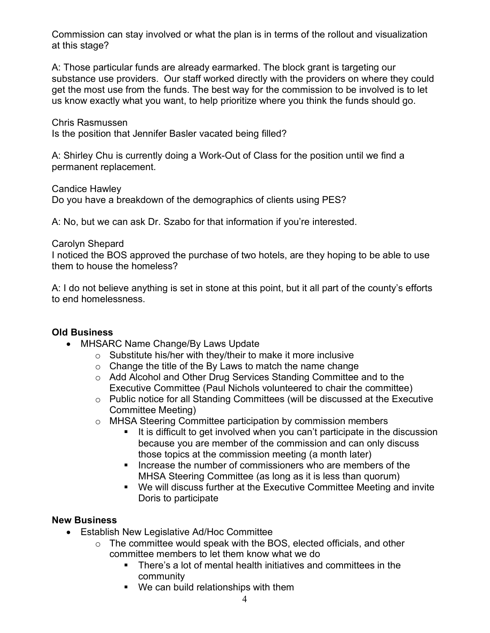Commission can stay involved or what the plan is in terms of the rollout and visualization at this stage?

A: Those particular funds are already earmarked. The block grant is targeting our substance use providers. Our staff worked directly with the providers on where they could get the most use from the funds. The best way for the commission to be involved is to let us know exactly what you want, to help prioritize where you think the funds should go.

Chris Rasmussen Is the position that Jennifer Basler vacated being filled?

A: Shirley Chu is currently doing a Work-Out of Class for the position until we find a permanent replacement.

Candice Hawley

Do you have a breakdown of the demographics of clients using PES?

A: No, but we can ask Dr. Szabo for that information if you're interested.

## Carolyn Shepard

I noticed the BOS approved the purchase of two hotels, are they hoping to be able to use them to house the homeless?

A: I do not believe anything is set in stone at this point, but it all part of the county's efforts to end homelessness.

## **Old Business**

- MHSARC Name Change/By Laws Update
	- o Substitute his/her with they/their to make it more inclusive
	- $\circ$  Change the title of the By Laws to match the name change
	- o Add Alcohol and Other Drug Services Standing Committee and to the Executive Committee (Paul Nichols volunteered to chair the committee)
	- o Public notice for all Standing Committees (will be discussed at the Executive Committee Meeting)
	- o MHSA Steering Committee participation by commission members
		- If is difficult to get involved when you can't participate in the discussion because you are member of the commission and can only discuss those topics at the commission meeting (a month later)
		- **IF** Increase the number of commissioners who are members of the MHSA Steering Committee (as long as it is less than quorum)
		- We will discuss further at the Executive Committee Meeting and invite Doris to participate

## **New Business**

- Establish New Legislative Ad/Hoc Committee
	- o The committee would speak with the BOS, elected officials, and other committee members to let them know what we do
		- There's a lot of mental health initiatives and committees in the community
		- We can build relationships with them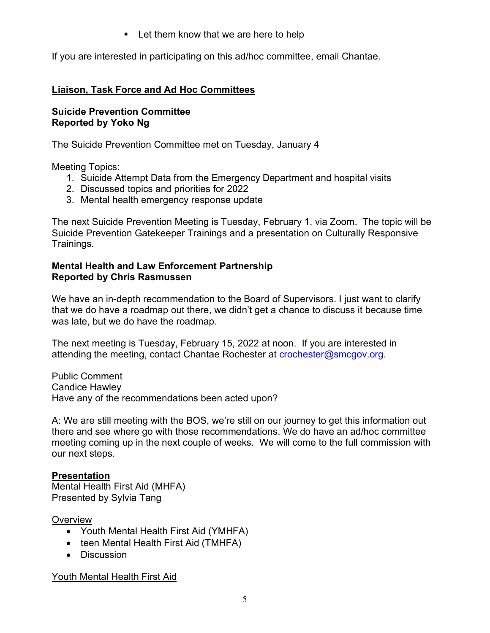**Let them know that we are here to help** 

If you are interested in participating on this ad/hoc committee, email Chantae.

## **Liaison, Task Force and Ad Hoc Committees**

## **Suicide Prevention Committee Reported by Yoko Ng**

The Suicide Prevention Committee met on Tuesday, January 4

Meeting Topics:

- 1. Suicide Attempt Data from the Emergency Department and hospital visits
- 2. Discussed topics and priorities for 2022
- 3. Mental health emergency response update

The next Suicide Prevention Meeting is Tuesday, February 1, via Zoom. The topic will be Suicide Prevention Gatekeeper Trainings and a presentation on Culturally Responsive Trainings.

## **Mental Health and Law Enforcement Partnership Reported by Chris Rasmussen**

We have an in-depth recommendation to the Board of Supervisors. I just want to clarify that we do have a roadmap out there, we didn't get a chance to discuss it because time was late, but we do have the roadmap.

The next meeting is Tuesday, February 15, 2022 at noon. If you are interested in attending the meeting, contact Chantae Rochester at [crochester@smcgov.org.](mailto:crochester@smcgov.org)

Public Comment Candice Hawley Have any of the recommendations been acted upon?

A: We are still meeting with the BOS, we're still on our journey to get this information out there and see where go with those recommendations. We do have an ad/hoc committee meeting coming up in the next couple of weeks. We will come to the full commission with our next steps.

## **Presentation**

Mental Health First Aid (MHFA) Presented by Sylvia Tang

## **Overview**

- Youth Mental Health First Aid (YMHFA)
- teen Mental Health First Aid (TMHFA)
- Discussion

Youth Mental Health First Aid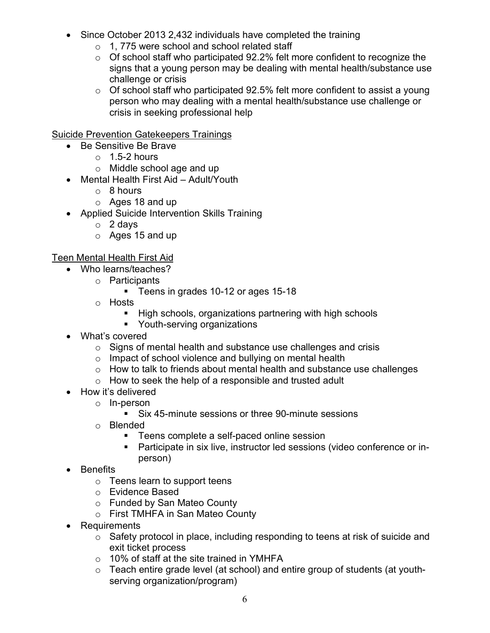- Since October 2013 2,432 individuals have completed the training
	- o 1, 775 were school and school related staff
	- $\circ$  Of school staff who participated 92.2% felt more confident to recognize the signs that a young person may be dealing with mental health/substance use challenge or crisis
	- $\circ$  Of school staff who participated 92.5% felt more confident to assist a young person who may dealing with a mental health/substance use challenge or crisis in seeking professional help

## Suicide Prevention Gatekeepers Trainings

- Be Sensitive Be Brave
	- $\circ$  1.5-2 hours
	- o Middle school age and up
- Mental Health First Aid Adult/Youth
	- o 8 hours
	- o Ages 18 and up
- Applied Suicide Intervention Skills Training
	- o 2 days
	- o Ages 15 and up

## Teen Mental Health First Aid

- Who learns/teaches?
	- o Participants
		- **Teens in grades 10-12 or ages 15-18**
	- o Hosts
		- **High schools, organizations partnering with high schools**
		- **•** Youth-serving organizations
- What's covered
	- o Signs of mental health and substance use challenges and crisis
	- o Impact of school violence and bullying on mental health
	- o How to talk to friends about mental health and substance use challenges
	- $\circ$  How to seek the help of a responsible and trusted adult
- How it's delivered
	- o In-person
		- Six 45-minute sessions or three 90-minute sessions
	- o Blended
		- **Teens complete a self-paced online session**
		- Participate in six live, instructor led sessions (video conference or inperson)
- Benefits
	- o Teens learn to support teens
	- o Evidence Based
	- o Funded by San Mateo County
	- o First TMHFA in San Mateo County
- Requirements
	- o Safety protocol in place, including responding to teens at risk of suicide and exit ticket process
	- o 10% of staff at the site trained in YMHFA
	- o Teach entire grade level (at school) and entire group of students (at youthserving organization/program)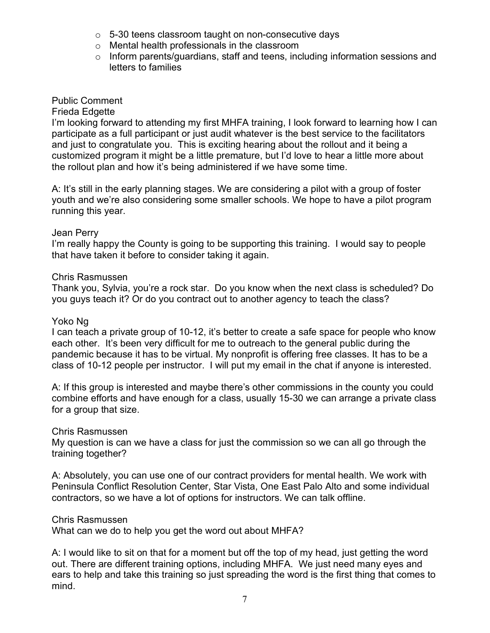- o 5-30 teens classroom taught on non-consecutive days
- o Mental health professionals in the classroom
- o Inform parents/guardians, staff and teens, including information sessions and letters to families

## Public Comment

#### Frieda Edgette

I'm looking forward to attending my first MHFA training, I look forward to learning how I can participate as a full participant or just audit whatever is the best service to the facilitators and just to congratulate you. This is exciting hearing about the rollout and it being a customized program it might be a little premature, but I'd love to hear a little more about the rollout plan and how it's being administered if we have some time.

A: It's still in the early planning stages. We are considering a pilot with a group of foster youth and we're also considering some smaller schools. We hope to have a pilot program running this year.

#### Jean Perry

I'm really happy the County is going to be supporting this training. I would say to people that have taken it before to consider taking it again.

#### Chris Rasmussen

Thank you, Sylvia, you're a rock star. Do you know when the next class is scheduled? Do you guys teach it? Or do you contract out to another agency to teach the class?

#### Yoko Ng

I can teach a private group of 10-12, it's better to create a safe space for people who know each other. It's been very difficult for me to outreach to the general public during the pandemic because it has to be virtual. My nonprofit is offering free classes. It has to be a class of 10-12 people per instructor. I will put my email in the chat if anyone is interested.

A: If this group is interested and maybe there's other commissions in the county you could combine efforts and have enough for a class, usually 15-30 we can arrange a private class for a group that size.

#### Chris Rasmussen

My question is can we have a class for just the commission so we can all go through the training together?

A: Absolutely, you can use one of our contract providers for mental health. We work with Peninsula Conflict Resolution Center, Star Vista, One East Palo Alto and some individual contractors, so we have a lot of options for instructors. We can talk offline.

#### Chris Rasmussen

What can we do to help you get the word out about MHFA?

A: I would like to sit on that for a moment but off the top of my head, just getting the word out. There are different training options, including MHFA. We just need many eyes and ears to help and take this training so just spreading the word is the first thing that comes to mind.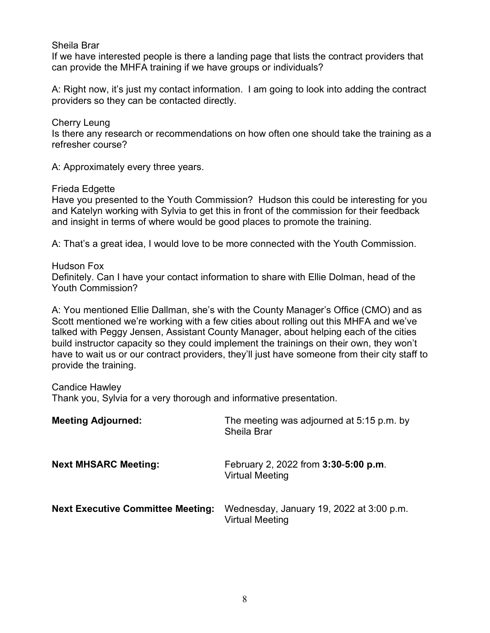Sheila Brar

If we have interested people is there a landing page that lists the contract providers that can provide the MHFA training if we have groups or individuals?

A: Right now, it's just my contact information. I am going to look into adding the contract providers so they can be contacted directly.

Cherry Leung Is there any research or recommendations on how often one should take the training as a refresher course?

A: Approximately every three years.

Frieda Edgette

Have you presented to the Youth Commission? Hudson this could be interesting for you and Katelyn working with Sylvia to get this in front of the commission for their feedback and insight in terms of where would be good places to promote the training.

A: That's a great idea, I would love to be more connected with the Youth Commission.

Hudson Fox Definitely. Can I have your contact information to share with Ellie Dolman, head of the Youth Commission?

A: You mentioned Ellie Dallman, she's with the County Manager's Office (CMO) and as Scott mentioned we're working with a few cities about rolling out this MHFA and we've talked with Peggy Jensen, Assistant County Manager, about helping each of the cities build instructor capacity so they could implement the trainings on their own, they won't have to wait us or our contract providers, they'll just have someone from their city staff to provide the training.

Candice Hawley

Thank you, Sylvia for a very thorough and informative presentation.

| <b>Meeting Adjourned:</b>                | The meeting was adjourned at 5:15 p.m. by<br><b>Sheila Brar</b>    |
|------------------------------------------|--------------------------------------------------------------------|
| <b>Next MHSARC Meeting:</b>              | February 2, 2022 from 3:30-5:00 p.m.<br><b>Virtual Meeting</b>     |
| <b>Next Executive Committee Meeting:</b> | Wednesday, January 19, 2022 at 3:00 p.m.<br><b>Virtual Meeting</b> |